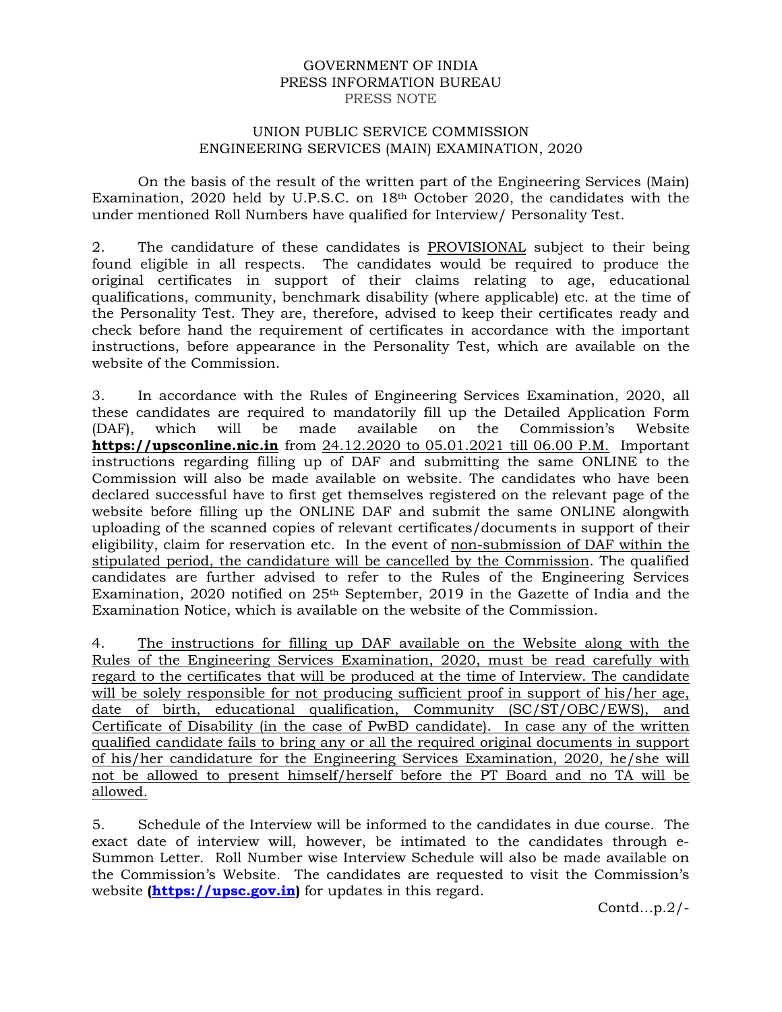### GOVERNMENT OF INDIA PRESS INFORMATION BUREAU PRESS NOTE

#### UNION PUBLIC SERVICE COMMISSION ENGINEERING SERVICES (MAIN) EXAMINATION, 2020

On the basis of the result of the written part of the Engineering Services (Main) Examination, 2020 held by U.P.S.C. on 18th October 2020, the candidates with the under mentioned Roll Numbers have qualified for Interview/ Personality Test.

2. The candidature of these candidates is PROVISIONAL subject to their being found eligible in all respects. The candidates would be required to produce the original certificates in support of their claims relating to age, educational qualifications, community, benchmark disability (where applicable) etc. at the time of the Personality Test. They are, therefore, advised to keep their certificates ready and check before hand the requirement of certificates in accordance with the important instructions, before appearance in the Personality Test, which are available on the website of the Commission.

3. In accordance with the Rules of Engineering Services Examination, 2020, all these candidates are required to mandatorily fill up the Detailed Application Form (DAF), which will be made available on the Commission's Website **https://upsconline.nic.in** from 24.12.2020 to 05.01.2021 till 06.00 P.M. Important instructions regarding filling up of DAF and submitting the same ONLINE to the Commission will also be made available on website. The candidates who have been declared successful have to first get themselves registered on the relevant page of the website before filling up the ONLINE DAF and submit the same ONLINE alongwith uploading of the scanned copies of relevant certificates/documents in support of their eligibility, claim for reservation etc. In the event of non-submission of DAF within the stipulated period, the candidature will be cancelled by the Commission. The qualified candidates are further advised to refer to the Rules of the Engineering Services Examination, 2020 notified on 25th September, 2019 in the Gazette of India and the Examination Notice, which is available on the website of the Commission.

4. The instructions for filling up DAF available on the Website along with the Rules of the Engineering Services Examination, 2020, must be read carefully with regard to the certificates that will be produced at the time of Interview. The candidate will be solely responsible for not producing sufficient proof in support of his/her age, date of birth, educational qualification, Community (SC/ST/OBC/EWS), and Certificate of Disability (in the case of PwBD candidate). In case any of the written qualified candidate fails to bring any or all the required original documents in support of his/her candidature for the Engineering Services Examination, 2020, he/she will not be allowed to present himself/herself before the PT Board and no TA will be allowed.

5. Schedule of the Interview will be informed to the candidates in due course. The exact date of interview will, however, be intimated to the candidates through e-Summon Letter. Roll Number wise Interview Schedule will also be made available on the Commission's Website. The candidates are requested to visit the Commission's website **(https://upsc.gov.in)** for updates in this regard.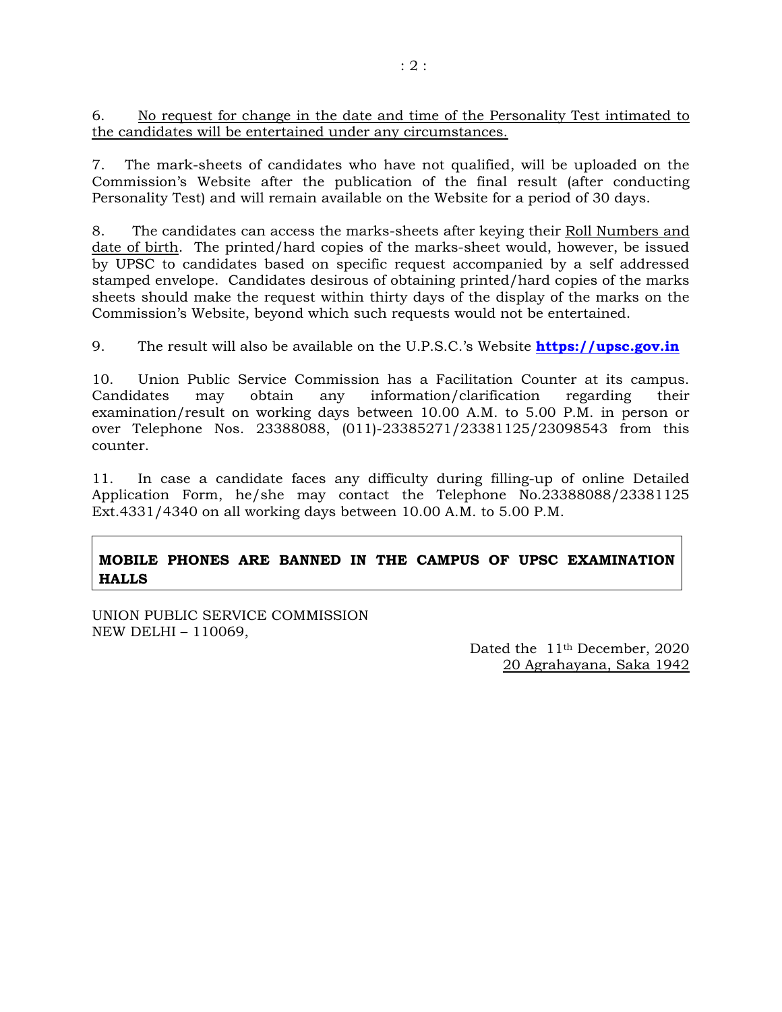6. No request for change in the date and time of the Personality Test intimated to the candidates will be entertained under any circumstances.

7. The mark-sheets of candidates who have not qualified, will be uploaded on the Commission's Website after the publication of the final result (after conducting Personality Test) and will remain available on the Website for a period of 30 days.

8. The candidates can access the marks-sheets after keying their Roll Numbers and date of birth. The printed/hard copies of the marks-sheet would, however, be issued by UPSC to candidates based on specific request accompanied by a self addressed stamped envelope. Candidates desirous of obtaining printed/hard copies of the marks sheets should make the request within thirty days of the display of the marks on the Commission's Website, beyond which such requests would not be entertained.

9. The result will also be available on the U.P.S.C.'s Website **https://upsc.gov.in**

10. Union Public Service Commission has a Facilitation Counter at its campus. Candidates may obtain any information/clarification regarding their examination/result on working days between 10.00 A.M. to 5.00 P.M. in person or over Telephone Nos. 23388088, (011)-23385271/23381125/23098543 from this counter.

11. In case a candidate faces any difficulty during filling-up of online Detailed Application Form, he/she may contact the Telephone No.23388088/23381125 Ext.4331/4340 on all working days between 10.00 A.M. to 5.00 P.M.

# **MOBILE PHONES ARE BANNED IN THE CAMPUS OF UPSC EXAMINATION HALLS**

UNION PUBLIC SERVICE COMMISSION NEW DELHI – 110069,

Dated the 11th December, 2020 20 Agrahayana, Saka 1942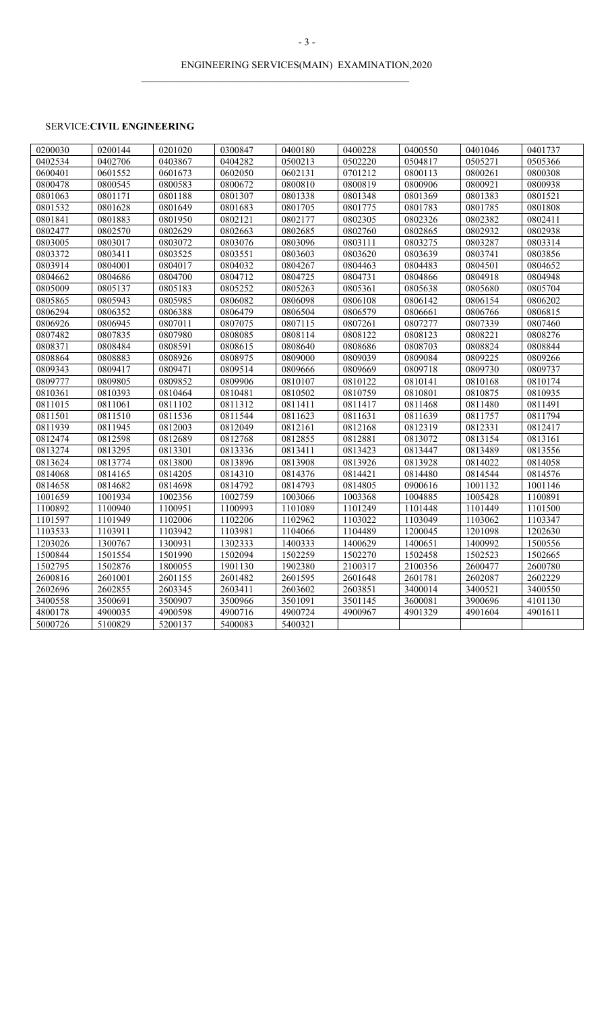$\mathcal{L}_\text{max} = \mathcal{L}_\text{max} = \mathcal{L}_\text{max} = \mathcal{L}_\text{max} = \mathcal{L}_\text{max} = \mathcal{L}_\text{max} = \mathcal{L}_\text{max} = \mathcal{L}_\text{max} = \mathcal{L}_\text{max} = \mathcal{L}_\text{max} = \mathcal{L}_\text{max} = \mathcal{L}_\text{max} = \mathcal{L}_\text{max} = \mathcal{L}_\text{max} = \mathcal{L}_\text{max} = \mathcal{L}_\text{max} = \mathcal{L}_\text{max} = \mathcal{L}_\text{max} = \mathcal{$ 

## SERVICE:**CIVIL ENGINEERING**

| 0200030 | 0200144 | 0201020 | 0300847 | 0400180 | 0400228 | 0400550 | 0401046 | 0401737 |
|---------|---------|---------|---------|---------|---------|---------|---------|---------|
| 0402534 | 0402706 | 0403867 | 0404282 | 0500213 | 0502220 | 0504817 | 0505271 | 0505366 |
| 0600401 | 0601552 | 0601673 | 0602050 | 0602131 | 0701212 | 0800113 | 0800261 | 0800308 |
| 0800478 | 0800545 | 0800583 | 0800672 | 0800810 | 0800819 | 0800906 | 0800921 | 0800938 |
| 0801063 | 0801171 | 0801188 | 0801307 | 0801338 | 0801348 | 0801369 | 0801383 | 0801521 |
| 0801532 | 0801628 | 0801649 | 0801683 | 0801705 | 0801775 | 0801783 | 0801785 | 0801808 |
| 0801841 | 0801883 | 0801950 | 0802121 | 0802177 | 0802305 | 0802326 | 0802382 | 0802411 |
| 0802477 | 0802570 | 0802629 | 0802663 | 0802685 | 0802760 | 0802865 | 0802932 | 0802938 |
| 0803005 | 0803017 | 0803072 | 0803076 | 0803096 | 0803111 | 0803275 | 0803287 | 0803314 |
| 0803372 | 0803411 | 0803525 | 0803551 | 0803603 | 0803620 | 0803639 | 0803741 | 0803856 |
| 0803914 | 0804001 | 0804017 | 0804032 | 0804267 | 0804463 | 0804483 | 0804501 | 0804652 |
| 0804662 | 0804686 | 0804700 | 0804712 | 0804725 | 0804731 | 0804866 | 0804918 | 0804948 |
| 0805009 | 0805137 | 0805183 | 0805252 | 0805263 | 0805361 | 0805638 | 0805680 | 0805704 |
| 0805865 | 0805943 | 0805985 | 0806082 | 0806098 | 0806108 | 0806142 | 0806154 | 0806202 |
| 0806294 | 0806352 | 0806388 | 0806479 | 0806504 | 0806579 | 0806661 | 0806766 | 0806815 |
| 0806926 | 0806945 | 0807011 | 0807075 | 0807115 | 0807261 | 0807277 | 0807339 | 0807460 |
| 0807482 | 0807835 | 0807980 | 0808085 | 0808114 | 0808122 | 0808123 | 0808221 | 0808276 |
| 0808371 | 0808484 | 0808591 | 0808615 | 0808640 | 0808686 | 0808703 | 0808824 | 0808844 |
| 0808864 | 0808883 | 0808926 | 0808975 | 0809000 | 0809039 | 0809084 | 0809225 | 0809266 |
| 0809343 | 0809417 | 0809471 | 0809514 | 0809666 | 0809669 | 0809718 | 0809730 | 0809737 |
| 0809777 | 0809805 | 0809852 | 0809906 | 0810107 | 0810122 | 0810141 | 0810168 | 0810174 |
| 0810361 | 0810393 | 0810464 | 0810481 | 0810502 | 0810759 | 0810801 | 0810875 | 0810935 |
| 0811015 | 0811061 | 0811102 | 0811312 | 0811411 | 0811417 | 0811468 | 0811480 | 0811491 |
| 0811501 | 0811510 | 0811536 | 0811544 | 0811623 | 0811631 | 0811639 | 0811757 | 0811794 |
| 0811939 | 0811945 | 0812003 | 0812049 | 0812161 | 0812168 | 0812319 | 0812331 | 0812417 |
| 0812474 | 0812598 | 0812689 | 0812768 | 0812855 | 0812881 | 0813072 | 0813154 | 0813161 |
| 0813274 | 0813295 | 0813301 | 0813336 | 0813411 | 0813423 | 0813447 | 0813489 | 0813556 |
| 0813624 | 0813774 | 0813800 | 0813896 | 0813908 | 0813926 | 0813928 | 0814022 | 0814058 |
| 0814068 | 0814165 | 0814205 | 0814310 | 0814376 | 0814421 | 0814480 | 0814544 | 0814576 |
| 0814658 | 0814682 | 0814698 | 0814792 | 0814793 | 0814805 | 0900616 | 1001132 | 1001146 |
| 1001659 | 1001934 | 1002356 | 1002759 | 1003066 | 1003368 | 1004885 | 1005428 | 1100891 |
| 1100892 | 1100940 | 1100951 | 1100993 | 1101089 | 1101249 | 1101448 | 1101449 | 1101500 |
| 1101597 | 1101949 | 1102006 | 1102206 | 1102962 | 1103022 | 1103049 | 1103062 | 1103347 |
| 1103533 | 1103911 | 1103942 | 1103981 | 1104066 | 1104489 | 1200045 | 1201098 | 1202630 |
| 1203026 | 1300767 | 1300931 | 1302333 | 1400333 | 1400629 | 1400651 | 1400992 | 1500556 |
| 1500844 | 1501554 | 1501990 | 1502094 | 1502259 | 1502270 | 1502458 | 1502523 | 1502665 |
| 1502795 | 1502876 | 1800055 | 1901130 | 1902380 | 2100317 | 2100356 | 2600477 | 2600780 |
| 2600816 | 2601001 | 2601155 | 2601482 | 2601595 | 2601648 | 2601781 | 2602087 | 2602229 |
| 2602696 | 2602855 | 2603345 | 2603411 | 2603602 | 2603851 | 3400014 | 3400521 | 3400550 |
| 3400558 | 3500691 | 3500907 | 3500966 | 3501091 | 3501145 | 3600081 | 3900696 | 4101130 |
| 4800178 | 4900035 | 4900598 | 4900716 | 4900724 | 4900967 | 4901329 | 4901604 | 4901611 |
| 5000726 | 5100829 | 5200137 | 5400083 | 5400321 |         |         |         |         |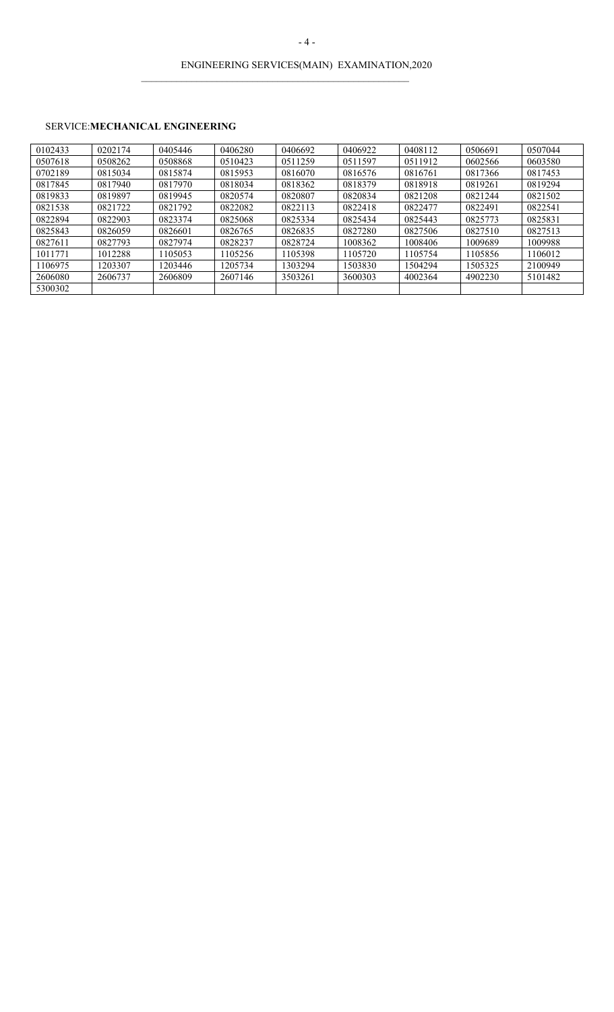# ENGINEERING SERVICES(MAIN) EXAMINATION,2020

 $\mathcal{L}_\text{max} = \mathcal{L}_\text{max} = \mathcal{L}_\text{max} = \mathcal{L}_\text{max} = \mathcal{L}_\text{max} = \mathcal{L}_\text{max} = \mathcal{L}_\text{max} = \mathcal{L}_\text{max} = \mathcal{L}_\text{max} = \mathcal{L}_\text{max} = \mathcal{L}_\text{max} = \mathcal{L}_\text{max} = \mathcal{L}_\text{max} = \mathcal{L}_\text{max} = \mathcal{L}_\text{max} = \mathcal{L}_\text{max} = \mathcal{L}_\text{max} = \mathcal{L}_\text{max} = \mathcal{$ 

## SERVICE:**MECHANICAL ENGINEERING**

| 0102433 | 0202174 | 0405446 | 0406280 | 0406692 | 0406922 | 0408112 | 0506691 | 0507044 |
|---------|---------|---------|---------|---------|---------|---------|---------|---------|
| 0507618 | 0508262 | 0508868 | 0510423 | 0511259 | 0511597 | 0511912 | 0602566 | 0603580 |
| 0702189 | 0815034 | 0815874 | 0815953 | 0816070 | 0816576 | 0816761 | 0817366 | 0817453 |
| 0817845 | 0817940 | 0817970 | 0818034 | 0818362 | 0818379 | 0818918 | 0819261 | 0819294 |
| 0819833 | 0819897 | 0819945 | 0820574 | 0820807 | 0820834 | 0821208 | 0821244 | 0821502 |
| 0821538 | 0821722 | 0821792 | 0822082 | 0822113 | 0822418 | 0822477 | 0822491 | 0822541 |
| 0822894 | 0822903 | 0823374 | 0825068 | 0825334 | 0825434 | 0825443 | 0825773 | 0825831 |
| 0825843 | 0826059 | 0826601 | 0826765 | 0826835 | 0827280 | 0827506 | 0827510 | 0827513 |
| 0827611 | 0827793 | 0827974 | 0828237 | 0828724 | 1008362 | 1008406 | 1009689 | 1009988 |
| 1011771 | 1012288 | 1105053 | 1105256 | 1105398 | 1105720 | 1105754 | 1105856 | 1106012 |
| 1106975 | 1203307 | 1203446 | 1205734 | 1303294 | 1503830 | 1504294 | 1505325 | 2100949 |
| 2606080 | 2606737 | 2606809 | 2607146 | 3503261 | 3600303 | 4002364 | 4902230 | 5101482 |
| 5300302 |         |         |         |         |         |         |         |         |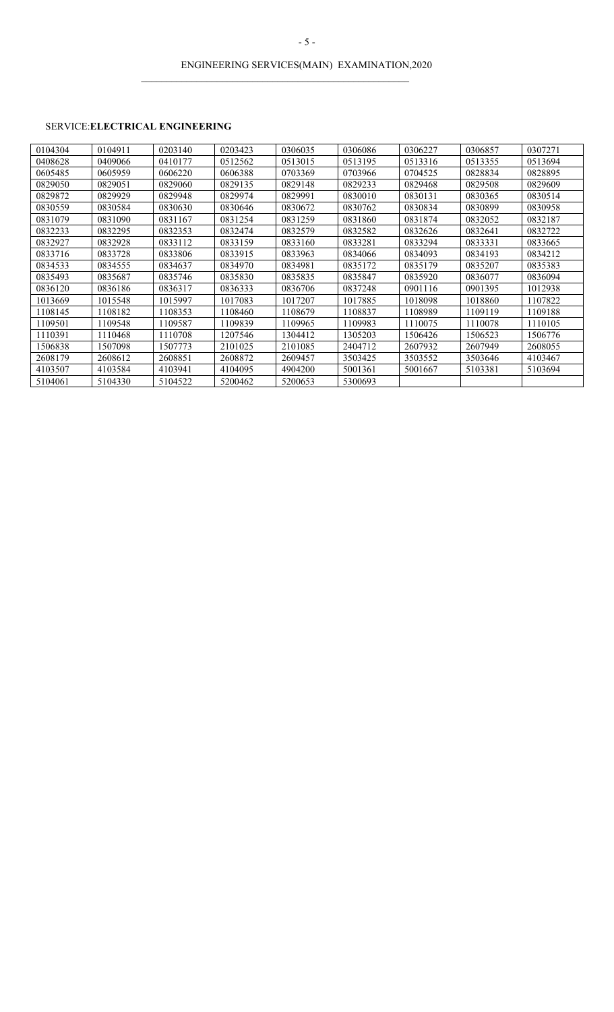$\mathcal{L}_\text{max} = \mathcal{L}_\text{max} = \mathcal{L}_\text{max} = \mathcal{L}_\text{max} = \mathcal{L}_\text{max} = \mathcal{L}_\text{max} = \mathcal{L}_\text{max} = \mathcal{L}_\text{max} = \mathcal{L}_\text{max} = \mathcal{L}_\text{max} = \mathcal{L}_\text{max} = \mathcal{L}_\text{max} = \mathcal{L}_\text{max} = \mathcal{L}_\text{max} = \mathcal{L}_\text{max} = \mathcal{L}_\text{max} = \mathcal{L}_\text{max} = \mathcal{L}_\text{max} = \mathcal{$ 

## SERVICE:**ELECTRICAL ENGINEERING**

| 0104304 | 0104911 | 0203140 | 0203423 | 0306035 | 0306086 | 0306227 | 0306857 | 0307271 |
|---------|---------|---------|---------|---------|---------|---------|---------|---------|
| 0408628 | 0409066 | 0410177 | 0512562 | 0513015 | 0513195 | 0513316 | 0513355 | 0513694 |
| 0605485 | 0605959 | 0606220 | 0606388 | 0703369 | 0703966 | 0704525 | 0828834 | 0828895 |
| 0829050 | 0829051 | 0829060 | 0829135 | 0829148 | 0829233 | 0829468 | 0829508 | 0829609 |
| 0829872 | 0829929 | 0829948 | 0829974 | 0829991 | 0830010 | 0830131 | 0830365 | 0830514 |
| 0830559 | 0830584 | 0830630 | 0830646 | 0830672 | 0830762 | 0830834 | 0830899 | 0830958 |
| 0831079 | 0831090 | 0831167 | 0831254 | 0831259 | 0831860 | 0831874 | 0832052 | 0832187 |
| 0832233 | 0832295 | 0832353 | 0832474 | 0832579 | 0832582 | 0832626 | 0832641 | 0832722 |
| 0832927 | 0832928 | 0833112 | 0833159 | 0833160 | 0833281 | 0833294 | 0833331 | 0833665 |
| 0833716 | 0833728 | 0833806 | 0833915 | 0833963 | 0834066 | 0834093 | 0834193 | 0834212 |
| 0834533 | 0834555 | 0834637 | 0834970 | 0834981 | 0835172 | 0835179 | 0835207 | 0835383 |
| 0835493 | 0835687 | 0835746 | 0835830 | 0835835 | 0835847 | 0835920 | 0836077 | 0836094 |
| 0836120 | 0836186 | 0836317 | 0836333 | 0836706 | 0837248 | 0901116 | 0901395 | 1012938 |
| 1013669 | 1015548 | 1015997 | 1017083 | 1017207 | 1017885 | 1018098 | 1018860 | 1107822 |
| 1108145 | 1108182 | 1108353 | 1108460 | 1108679 | 1108837 | 1108989 | 1109119 | 1109188 |
| 1109501 | 1109548 | 1109587 | 1109839 | 1109965 | 1109983 | 1110075 | 1110078 | 1110105 |
| 1110391 | 1110468 | 1110708 | 1207546 | 1304412 | 1305203 | 1506426 | 1506523 | 1506776 |
| 1506838 | 1507098 | 1507773 | 2101025 | 2101085 | 2404712 | 2607932 | 2607949 | 2608055 |
| 2608179 | 2608612 | 2608851 | 2608872 | 2609457 | 3503425 | 3503552 | 3503646 | 4103467 |
| 4103507 | 4103584 | 4103941 | 4104095 | 4904200 | 5001361 | 5001667 | 5103381 | 5103694 |
| 5104061 | 5104330 | 5104522 | 5200462 | 5200653 | 5300693 |         |         |         |